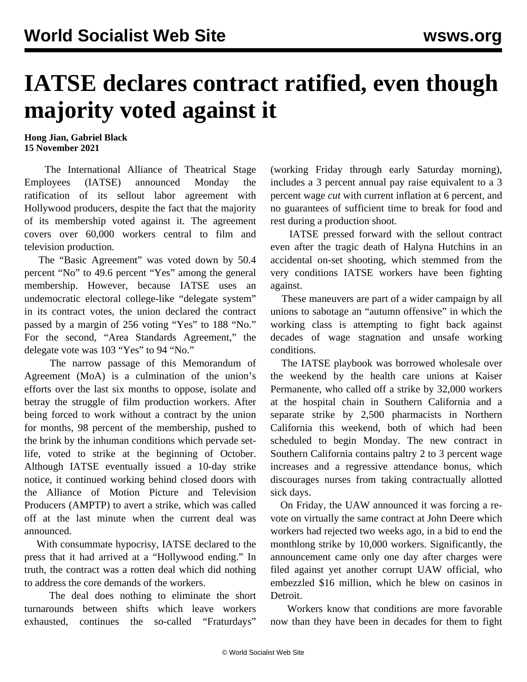## **IATSE declares contract ratified, even though majority voted against it**

## **Hong Jian, Gabriel Black 15 November 2021**

 The International Alliance of Theatrical Stage Employees (IATSE) announced Monday the ratification of its sellout labor agreement with Hollywood producers, despite the fact that the majority of its membership voted against it. The agreement covers over 60,000 workers central to film and television production.

 The "Basic Agreement" was voted down by 50.4 percent "No" to 49.6 percent "Yes" among the general membership. However, because IATSE uses an undemocratic electoral college-like "delegate system" in its contract votes, the union declared the contract passed by a margin of 256 voting "Yes" to 188 "No." For the second, "Area Standards Agreement," the delegate vote was 103 "Yes" to 94 "No."

 The narrow passage of this Memorandum of Agreement (MoA) is a culmination of the union's efforts over the last six months to oppose, isolate and betray the struggle of film production workers. After being forced to work without a contract by the union for months, 98 percent of the membership, pushed to the brink by the [inhuman](/en/articles/2021/10/25/iats-o25.html) conditions which pervade setlife, [voted](/en/articles/2021/10/05/iats-o05.html) to strike at the beginning of October. Although IATSE eventually issued a 10-day strike notice, it continued working behind closed doors with the Alliance of Motion Picture and Television Producers (AMPTP) to avert a strike, which was called off at the last minute when the current deal was announced.

 With consummate hypocrisy, IATSE declared to the press that it had arrived at a "Hollywood ending." In truth, the contract was a [rotten deal](/en/articles/2021/11/06/iats-n06.html) which did nothing to address the core demands of the workers.

 The deal does nothing to eliminate the short turnarounds between shifts which leave workers exhausted, continues the so-called "Fraturdays"

(working Friday through early Saturday morning), includes a 3 percent annual pay raise equivalent to a 3 percent wage *cut* with current inflation at 6 percent, and no guarantees of sufficient time to break for food and rest during a production shoot.

 IATSE pressed forward with the sellout contract even after the tragic [death](/en/articles/2021/10/23/shoo-o23.html) of Halyna Hutchins in an accidental on-set shooting, which stemmed from the very conditions IATSE workers have been fighting against.

 These maneuvers are part of a wider campaign by all unions to sabotage an "autumn offensive" in which the working class is attempting to fight back against decades of wage stagnation and unsafe working conditions.

 The IATSE playbook was borrowed wholesale over the weekend by the health care unions at Kaiser Permanente, who called off a strike by 32,000 workers at the hospital chain in Southern California and a separate strike by 2,500 pharmacists in Northern California this weekend, both of which had been scheduled to begin Monday. The new contract in Southern California contains paltry 2 to 3 percent wage increases and a regressive attendance bonus, which discourages nurses from taking contractually allotted sick days.

 On Friday, the UAW announced it was forcing a revote on virtually the same contract at John Deere which workers had rejected two weeks ago, in a bid to end the monthlong strike by 10,000 workers. Significantly, the announcement came only one day after charges were filed against yet another corrupt UAW official, who embezzled \$16 million, which he blew on casinos in Detroit.

 Workers know that conditions are more favorable now than they have been in decades for them to fight